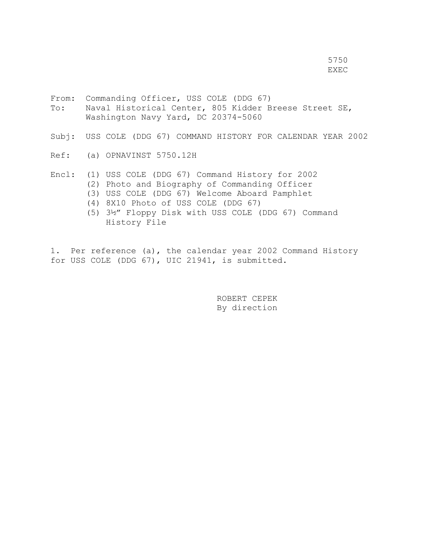5750 en de la provincia de la provincia de la provincia de la provincia de la provincia de la provincia de la provi<br>Extensión

- From: Commanding Officer, USS COLE (DDG 67) To: Naval Historical Center, 805 Kidder Breese Street SE, Washington Navy Yard, DC 20374-5060
- Subj: USS COLE (DDG 67) COMMAND HISTORY FOR CALENDAR YEAR 2002
- Ref: (a) OPNAVINST 5750.12H
- Encl: (1) USS COLE (DDG 67) Command History for 2002 (2) Photo and Biography of Commanding Officer
	- (3) USS COLE (DDG 67) Welcome Aboard Pamphlet
	- (4) 8X10 Photo of USS COLE (DDG 67)
	- (5) 3½" Floppy Disk with USS COLE (DDG 67) Command History File

1. Per reference (a), the calendar year 2002 Command History for USS COLE (DDG 67), UIC 21941, is submitted.

> ROBERT CEPEK By direction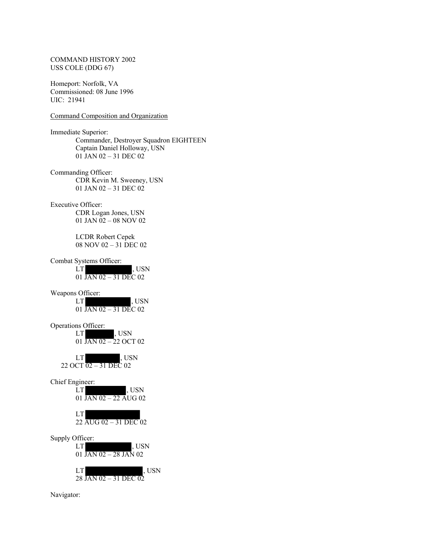### COMMAND HISTORY 2002 USS COLE (DDG 67)

Homeport: Norfolk, VA Commissioned: 08 June 1996 UIC: 21941

## Command Composition and Organization

Immediate Superior: Commander, Destroyer Squadron EIGHTEEN Captain Daniel Holloway, USN 01 JAN 02 – 31 DEC 02 Commanding Officer: CDR Kevin M. Sweeney, USN 01 JAN 02 – 31 DEC 02 Executive Officer: CDR Logan Jones, USN 01 JAN 02 – 08 NOV 02 LCDR Robert Cepek 08 NOV 02 – 31 DEC 02 Combat Systems Officer: LT , USN 01 JAN 02 – 31 DEC 02 Weapons Officer:<br>LT , USN 01 JAN 02 – 31 DEC 02 Operations Officer: LT , USN 01 JAN 02 – 22 OCT 02 LT , USN 22 OCT 02 – 31 DEC 02 Chief Engineer:  $, USN$ 01 JAN 02 – 22 AUG 02 LT 22 AUG 02 – 31 DEC 02 Supply Officer: LT , USN 01 JAN 02 – 28 JAN 02 LT , USN 28 JAN 02 – 31 DEC 02

Navigator: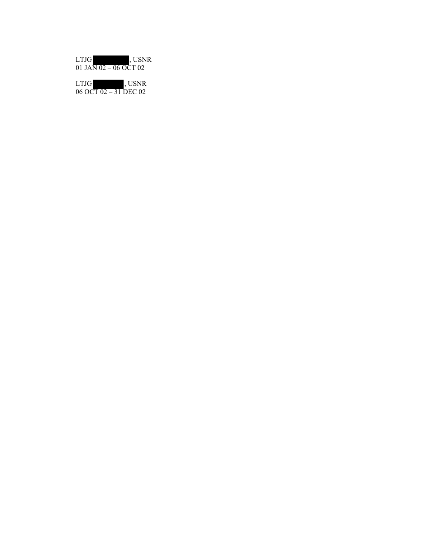| <b>LTJG</b>           | . USNR |
|-----------------------|--------|
| 01 JAN 02 - 06 OCT 02 |        |

| LTJGI                   | . USNR |
|-------------------------|--------|
| 06 OCT $02 - 31$ DEC 02 |        |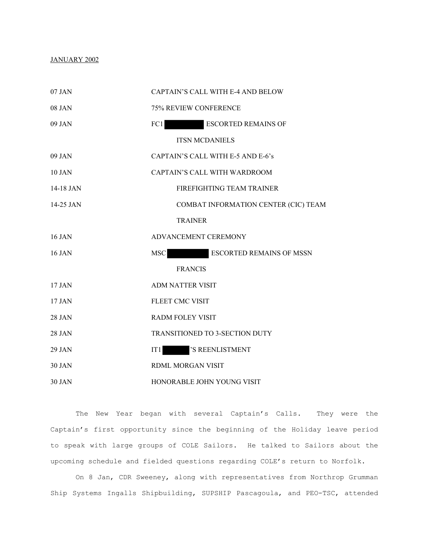## JANUARY 2002

| 07 JAN        | CAPTAIN'S CALL WITH E-4 AND BELOW             |
|---------------|-----------------------------------------------|
| 08 JAN        | 75% REVIEW CONFERENCE                         |
| $09$ JAN      | <b>ESCORTED REMAINS OF</b><br>FC1             |
|               | <b>ITSN MCDANIELS</b>                         |
| 09 JAN        | CAPTAIN'S CALL WITH E-5 AND E-6's             |
| <b>10 JAN</b> | CAPTAIN'S CALL WITH WARDROOM                  |
| 14-18 JAN     | FIREFIGHTING TEAM TRAINER                     |
| 14-25 JAN     | COMBAT INFORMATION CENTER (CIC) TEAM          |
|               | <b>TRAINER</b>                                |
| 16 JAN        | ADVANCEMENT CEREMONY                          |
| 16 JAN        | <b>MSC</b><br><b>ESCORTED REMAINS OF MSSN</b> |
|               | <b>FRANCIS</b>                                |
| 17 JAN        | <b>ADM NATTER VISIT</b>                       |
| 17 JAN        | <b>FLEET CMC VISIT</b>                        |
| 28 JAN        | <b>RADM FOLEY VISIT</b>                       |
| 28 JAN        | TRANSITIONED TO 3-SECTION DUTY                |
| 29 JAN        | 'S REENLISTMENT<br>IT1                        |
| <b>30 JAN</b> | RDML MORGAN VISIT                             |
|               |                                               |

30 JAN HONORABLE JOHN YOUNG VISIT

The New Year began with several Captain's Calls. They were the Captain's first opportunity since the beginning of the Holiday leave period to speak with large groups of COLE Sailors. He talked to Sailors about the upcoming schedule and fielded questions regarding COLE's return to Norfolk.

On 8 Jan, CDR Sweeney, along with representatives from Northrop Grumman Ship Systems Ingalls Shipbuilding, SUPSHIP Pascagoula, and PEO-TSC, attended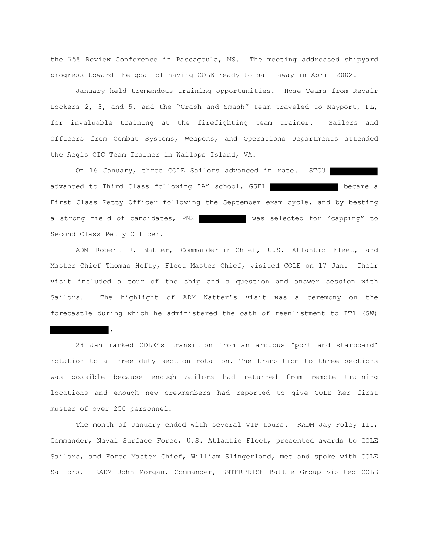the 75% Review Conference in Pascagoula, MS. The meeting addressed shipyard progress toward the goal of having COLE ready to sail away in April 2002.

January held tremendous training opportunities. Hose Teams from Repair Lockers 2, 3, and 5, and the "Crash and Smash" team traveled to Mayport, FL, for invaluable training at the firefighting team trainer. Sailors and Officers from Combat Systems, Weapons, and Operations Departments attended the Aegis CIC Team Trainer in Wallops Island, VA.

On 16 January, three COLE Sailors advanced in rate. STG3 advanced to Third Class following "A" school, GSE1 became a First Class Petty Officer following the September exam cycle, and by besting a strong field of candidates, PN2 was selected for "capping" to Second Class Petty Officer.

ADM Robert J. Natter, Commander-in-Chief, U.S. Atlantic Fleet, and Master Chief Thomas Hefty, Fleet Master Chief, visited COLE on 17 Jan. Their visit included a tour of the ship and a question and answer session with Sailors. The highlight of ADM Natter's visit was a ceremony on the forecastle during which he administered the oath of reenlistment to IT1 (SW)

28 Jan marked COLE's transition from an arduous "port and starboard" rotation to a three duty section rotation. The transition to three sections was possible because enough Sailors had returned from remote training locations and enough new crewmembers had reported to give COLE her first muster of over 250 personnel.

.

The month of January ended with several VIP tours. RADM Jay Foley III, Commander, Naval Surface Force, U.S. Atlantic Fleet, presented awards to COLE Sailors, and Force Master Chief, William Slingerland, met and spoke with COLE Sailors. RADM John Morgan, Commander, ENTERPRISE Battle Group visited COLE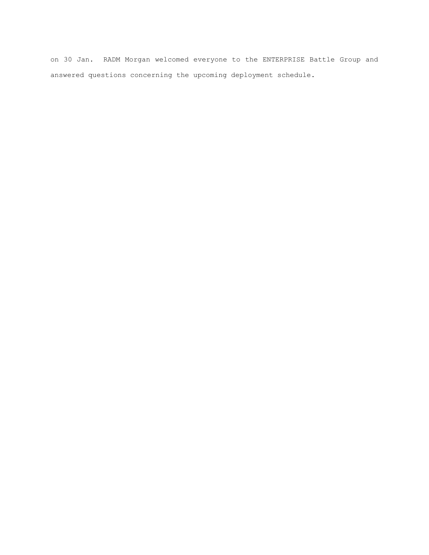on 30 Jan. RADM Morgan welcomed everyone to the ENTERPRISE Battle Group and answered questions concerning the upcoming deployment schedule.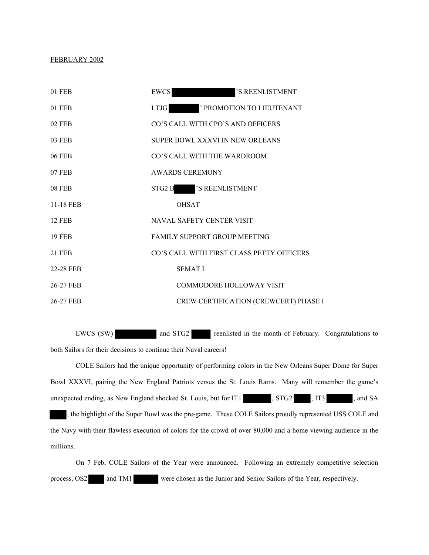### FEBRUARY 2002

| 01 FEB        | <b>EWCS</b><br>'S REENLISTMENT            |  |
|---------------|-------------------------------------------|--|
| 01 FEB        | ' PROMOTION TO LIEUTENANT<br><b>LTJG</b>  |  |
| <b>02 FEB</b> | CO'S CALL WITH CPO'S AND OFFICERS         |  |
| 03 FEB        | SUPER BOWL XXXVI IN NEW ORLEANS           |  |
| 06 FEB        | CO'S CALL WITH THE WARDROOM               |  |
| 07 FEB        | <b>AWARDS CEREMONY</b>                    |  |
| <b>08 FEB</b> | 'S REENLISTMENT<br>STG2 B                 |  |
| 11-18 FEB     | <b>OHSAT</b>                              |  |
| <b>12 FEB</b> | NAVAL SAFETY CENTER VISIT                 |  |
| <b>19 FEB</b> | FAMILY SUPPORT GROUP MEETING              |  |
| <b>21 FEB</b> | CO'S CALL WITH FIRST CLASS PETTY OFFICERS |  |
| 22-28 FEB     | <b>SEMATI</b>                             |  |
| 26-27 FEB     | COMMODORE HOLLOWAY VISIT                  |  |
| 26-27 FEB     | CREW CERTIFICATION (CREWCERT) PHASE I     |  |

EWCS (SW) and STG2 reenlisted in the month of February. Congratulations to both Sailors for their decisions to continue their Naval careers!

COLE Sailors had the unique opportunity of performing colors in the New Orleans Super Dome for Super Bowl XXXVI, pairing the New England Patriots versus the St. Louis Rams. Many will remember the game's unexpected ending, as New England shocked St. Louis, but for  $IT1$ ,  $STG2$ ,  $IT3$ , and  $SA$ 

, the highlight of the Super Bowl was the pre-game. These COLE Sailors proudly represented USS COLE and the Navy with their flawless execution of colors for the crowd of over 80,000 and a home viewing audience in the millions.

On 7 Feb, COLE Sailors of the Year were announced. Following an extremely competitive selection process, OS2 and TM1 were chosen as the Junior and Senior Sailors of the Year, respectively.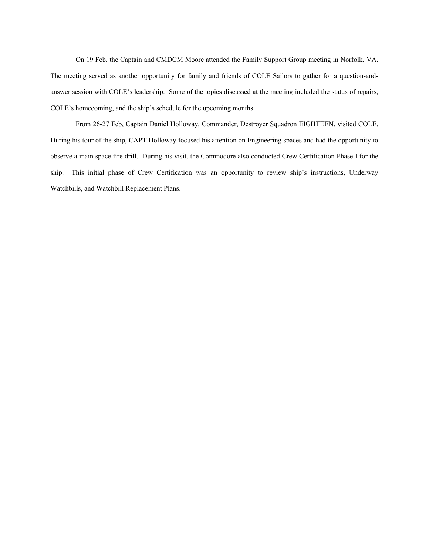On 19 Feb, the Captain and CMDCM Moore attended the Family Support Group meeting in Norfolk, VA. The meeting served as another opportunity for family and friends of COLE Sailors to gather for a question-andanswer session with COLE's leadership. Some of the topics discussed at the meeting included the status of repairs, COLE's homecoming, and the ship's schedule for the upcoming months.

From 26-27 Feb, Captain Daniel Holloway, Commander, Destroyer Squadron EIGHTEEN, visited COLE. During his tour of the ship, CAPT Holloway focused his attention on Engineering spaces and had the opportunity to observe a main space fire drill. During his visit, the Commodore also conducted Crew Certification Phase I for the ship. This initial phase of Crew Certification was an opportunity to review ship's instructions, Underway Watchbills, and Watchbill Replacement Plans.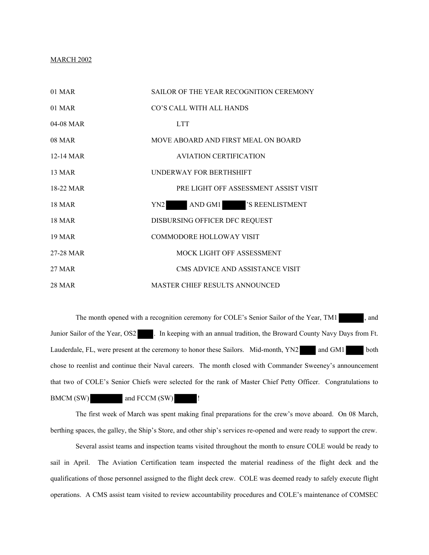### MARCH 2002

| $01$ MAR      | SAILOR OF THE YEAR RECOGNITION CEREMONY    |
|---------------|--------------------------------------------|
| 01 MAR        | CO'S CALL WITH ALL HANDS                   |
| 04-08 MAR     | <b>LTT</b>                                 |
| 08 MAR        | MOVE ABOARD AND FIRST MEAL ON BOARD        |
| 12-14 MAR     | <b>AVIATION CERTIFICATION</b>              |
| <b>13 MAR</b> | UNDERWAY FOR BERTHSHIFT                    |
| 18-22 MAR     | PRE LIGHT OFF ASSESSMENT ASSIST VISIT      |
| <b>18 MAR</b> | AND GM1 'S REENLISTMENT<br>YN <sub>2</sub> |
| <b>18 MAR</b> | DISBURSING OFFICER DFC REQUEST             |
| <b>19 MAR</b> | <b>COMMODORE HOLLOWAY VISIT</b>            |
| 27-28 MAR     | MOCK LIGHT OFF ASSESSMENT                  |
| 27 MAR        | CMS ADVICE AND ASSISTANCE VISIT            |
| 28 MAR        | <b>MASTER CHIEF RESULTS ANNOUNCED</b>      |

The month opened with a recognition ceremony for COLE's Senior Sailor of the Year, TM1 , and Junior Sailor of the Year, OS2 . In keeping with an annual tradition, the Broward County Navy Days from Ft. Lauderdale, FL, were present at the ceremony to honor these Sailors. Mid-month, YN2 and GM1 both chose to reenlist and continue their Naval careers. The month closed with Commander Sweeney's announcement that two of COLE's Senior Chiefs were selected for the rank of Master Chief Petty Officer. Congratulations to BMCM (SW) and FCCM (SW)

The first week of March was spent making final preparations for the crew's move aboard. On 08 March, berthing spaces, the galley, the Ship's Store, and other ship's services re-opened and were ready to support the crew.

Several assist teams and inspection teams visited throughout the month to ensure COLE would be ready to sail in April. The Aviation Certification team inspected the material readiness of the flight deck and the qualifications of those personnel assigned to the flight deck crew. COLE was deemed ready to safely execute flight operations. A CMS assist team visited to review accountability procedures and COLE's maintenance of COMSEC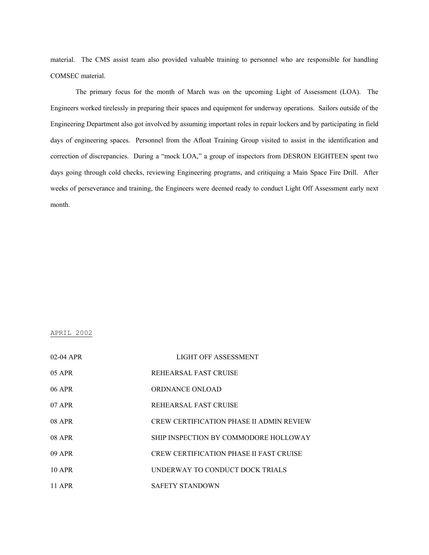material. The CMS assist team also provided valuable training to personnel who are responsible for handling COMSEC material.

The primary focus for the month of March was on the upcoming Light of Assessment (LOA). The Engineers worked tirelessly in preparing their spaces and equipment for underway operations. Sailors outside of the Engineering Department also got involved by assuming important roles in repair lockers and by participating in field days of engineering spaces. Personnel from the Afloat Training Group visited to assist in the identification and correction of discrepancies. During a "mock LOA," a group of inspectors from DESRON EIGHTEEN spent two days going through cold checks, reviewing Engineering programs, and critiquing a Main Space Fire Drill. After weeks of perseverance and training, the Engineers were deemed ready to conduct Light Off Assessment early next month.

#### APRIL 2002

| $02-04$ APR | LIGHT OFF ASSESSMENT                            |
|-------------|-------------------------------------------------|
| 05 APR      | REHEARSAL FAST CRUISE                           |
| 06 APR      | ORDNANCE ONLOAD                                 |
| 07 APR      | REHEARSAL FAST CRUISE                           |
| 08 APR      | <b>CREW CERTIFICATION PHASE II ADMIN REVIEW</b> |
| 08 APR      | SHIP INSPECTION BY COMMODORE HOLLOWAY           |
| 09 APR      | <b>CREW CERTIFICATION PHASE II FAST CRUISE</b>  |
| 10 APR      | UNDERWAY TO CONDUCT DOCK TRIALS                 |
| 11 APR      | <b>SAFETY STANDOWN</b>                          |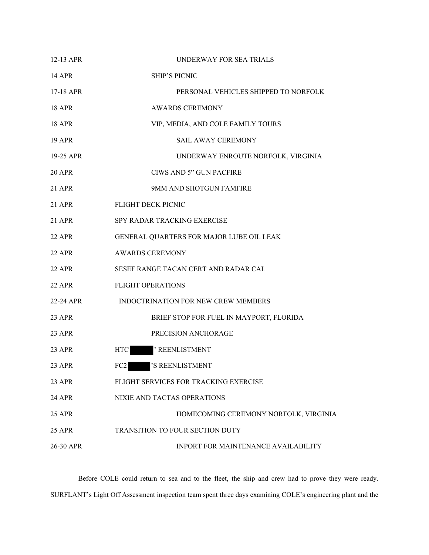| $12-13$ APR   | UNDERWAY FOR SEA TRIALS                  |
|---------------|------------------------------------------|
| 14 APR        | <b>SHIP'S PICNIC</b>                     |
| 17-18 APR     | PERSONAL VEHICLES SHIPPED TO NORFOLK     |
| <b>18 APR</b> | <b>AWARDS CEREMONY</b>                   |
| <b>18 APR</b> | VIP, MEDIA, AND COLE FAMILY TOURS        |
| <b>19 APR</b> | <b>SAIL AWAY CEREMONY</b>                |
| 19-25 APR     | UNDERWAY ENROUTE NORFOLK, VIRGINIA       |
| <b>20 APR</b> | CIWS AND 5" GUN PACFIRE                  |
| 21 APR        | 9MM AND SHOTGUN FAMFIRE                  |
| 21 APR        | FLIGHT DECK PICNIC                       |
| 21 APR        | SPY RADAR TRACKING EXERCISE              |
| 22 APR        | GENERAL QUARTERS FOR MAJOR LUBE OIL LEAK |
| 22 APR        | <b>AWARDS CEREMONY</b>                   |
| 22 APR        | SESEF RANGE TACAN CERT AND RADAR CAL     |
| 22 APR        | <b>FLIGHT OPERATIONS</b>                 |
| 22-24 APR     | INDOCTRINATION FOR NEW CREW MEMBERS      |
| <b>23 APR</b> | BRIEF STOP FOR FUEL IN MAYPORT, FLORIDA  |
| 23 APR        | PRECISION ANCHORAGE                      |
| 23 APR        | ' REENLISTMENT<br><b>HTC</b>             |
| 23 APR        | FC2<br>'S REENLISTMENT                   |
| 23 APR        | FLIGHT SERVICES FOR TRACKING EXERCISE    |
| 24 APR        | NIXIE AND TACTAS OPERATIONS              |
| <b>25 APR</b> | HOMECOMING CEREMONY NORFOLK, VIRGINIA    |
| <b>25 APR</b> | TRANSITION TO FOUR SECTION DUTY          |
| 26-30 APR     | INPORT FOR MAINTENANCE AVAILABILITY      |

Before COLE could return to sea and to the fleet, the ship and crew had to prove they were ready. SURFLANT's Light Off Assessment inspection team spent three days examining COLE's engineering plant and the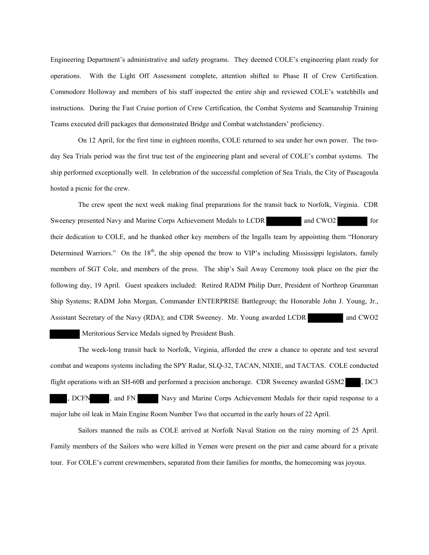Engineering Department's administrative and safety programs. They deemed COLE's engineering plant ready for operations. With the Light Off Assessment complete, attention shifted to Phase II of Crew Certification. Commodore Holloway and members of his staff inspected the entire ship and reviewed COLE's watchbills and instructions. During the Fast Cruise portion of Crew Certification, the Combat Systems and Seamanship Training Teams executed drill packages that demonstrated Bridge and Combat watchstanders' proficiency.

On 12 April, for the first time in eighteen months, COLE returned to sea under her own power. The twoday Sea Trials period was the first true test of the engineering plant and several of COLE's combat systems. The ship performed exceptionally well. In celebration of the successful completion of Sea Trials, the City of Pascagoula hosted a picnic for the crew.

The crew spent the next week making final preparations for the transit back to Norfolk, Virginia. CDR Sweeney presented Navy and Marine Corps Achievement Medals to LCDR and CWO2 for their dedication to COLE, and he thanked other key members of the Ingalls team by appointing them "Honorary Determined Warriors." On the  $18<sup>th</sup>$ , the ship opened the brow to VIP's including Mississippi legislators, family members of SGT Cole, and members of the press. The ship's Sail Away Ceremony took place on the pier the following day, 19 April. Guest speakers included: Retired RADM Philip Durr, President of Northrop Grumman Ship Systems; RADM John Morgan, Commander ENTERPRISE Battlegroup; the Honorable John J. Young, Jr., Assistant Secretary of the Navy (RDA); and CDR Sweeney. Mr. Young awarded LCDR and CWO2

Meritorious Service Medals signed by President Bush.

The week-long transit back to Norfolk, Virginia, afforded the crew a chance to operate and test several combat and weapons systems including the SPY Radar, SLQ-32, TACAN, NIXIE, and TACTAS. COLE conducted flight operations with an SH-60B and performed a precision anchorage. CDR Sweeney awarded GSM2 , DC3 DCFN , and FN Navy and Marine Corps Achievement Medals for their rapid response to a

major lube oil leak in Main Engine Room Number Two that occurred in the early hours of 22 April.

Sailors manned the rails as COLE arrived at Norfolk Naval Station on the rainy morning of 25 April. Family members of the Sailors who were killed in Yemen were present on the pier and came aboard for a private tour. For COLE's current crewmembers, separated from their families for months, the homecoming was joyous.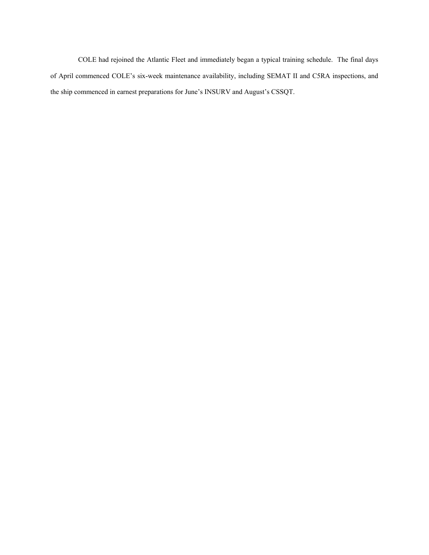COLE had rejoined the Atlantic Fleet and immediately began a typical training schedule. The final days of April commenced COLE's six-week maintenance availability, including SEMAT II and C5RA inspections, and the ship commenced in earnest preparations for June's INSURV and August's CSSQT.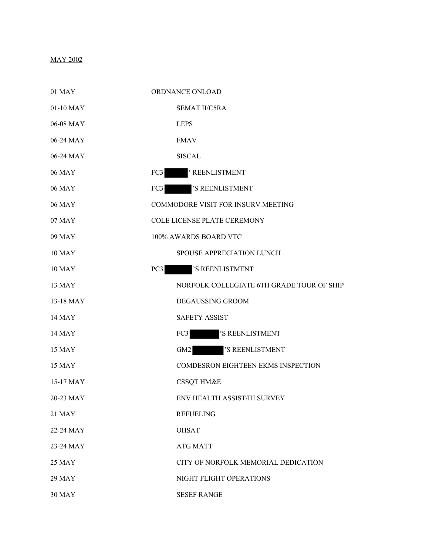# MAY 2002

| 01 MAY        | ORDNANCE ONLOAD                           |
|---------------|-------------------------------------------|
| 01-10 MAY     | <b>SEMAT II/C5RA</b>                      |
| 06-08 MAY     | <b>LEPS</b>                               |
| 06-24 MAY     | <b>FMAV</b>                               |
| 06-24 MAY     | <b>SISCAL</b>                             |
| 06 MAY        | <b>REENLISTMENT</b><br>FC3                |
| 06 MAY        | 'S REENLISTMENT<br>FC3                    |
| 06 MAY        | <b>COMMODORE VISIT FOR INSURV MEETING</b> |
| 07 MAY        | <b>COLE LICENSE PLATE CEREMONY</b>        |
| 09 MAY        | 100% AWARDS BOARD VTC                     |
| <b>10 MAY</b> | SPOUSE APPRECIATION LUNCH                 |
| <b>10 MAY</b> | 'S REENLISTMENT<br>PC <sub>3</sub>        |
| 13 MAY        | NORFOLK COLLEGIATE 6TH GRADE TOUR OF SHIP |
| 13-18 MAY     | <b>DEGAUSSING GROOM</b>                   |
| <b>14 MAY</b> | <b>SAFETY ASSIST</b>                      |
| <b>14 MAY</b> | FC3<br>'S REENLISTMENT                    |
| 15 MAY        | 'S REENLISTMENT<br>GM <sub>2</sub>        |
| 15 MAY        | <b>COMDESRON EIGHTEEN EKMS INSPECTION</b> |
| 15-17 MAY     | <b>CSSQT HM&amp;E</b>                     |
| 20-23 MAY     | ENV HEALTH ASSIST/IH SURVEY               |
| <b>21 MAY</b> | <b>REFUELING</b>                          |
| 22-24 MAY     | <b>OHSAT</b>                              |
| 23-24 MAY     | <b>ATG MATT</b>                           |
| <b>25 MAY</b> | CITY OF NORFOLK MEMORIAL DEDICATION       |
| <b>29 MAY</b> | NIGHT FLIGHT OPERATIONS                   |
| <b>30 MAY</b> | <b>SESEF RANGE</b>                        |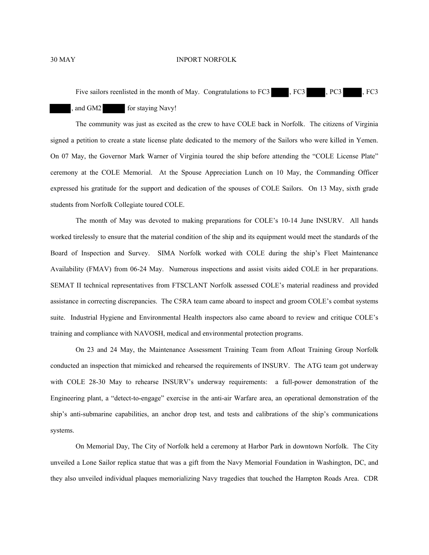Five sailors reenlisted in the month of May. Congratulations to FC3 , FC3 , PC3 , FC3

# and GM2 for staying Navy!

The community was just as excited as the crew to have COLE back in Norfolk. The citizens of Virginia signed a petition to create a state license plate dedicated to the memory of the Sailors who were killed in Yemen. On 07 May, the Governor Mark Warner of Virginia toured the ship before attending the "COLE License Plate" ceremony at the COLE Memorial. At the Spouse Appreciation Lunch on 10 May, the Commanding Officer expressed his gratitude for the support and dedication of the spouses of COLE Sailors. On 13 May, sixth grade students from Norfolk Collegiate toured COLE.

The month of May was devoted to making preparations for COLE's 10-14 June INSURV. All hands worked tirelessly to ensure that the material condition of the ship and its equipment would meet the standards of the Board of Inspection and Survey. SIMA Norfolk worked with COLE during the ship's Fleet Maintenance Availability (FMAV) from 06-24 May. Numerous inspections and assist visits aided COLE in her preparations. SEMAT II technical representatives from FTSCLANT Norfolk assessed COLE's material readiness and provided assistance in correcting discrepancies. The C5RA team came aboard to inspect and groom COLE's combat systems suite. Industrial Hygiene and Environmental Health inspectors also came aboard to review and critique COLE's training and compliance with NAVOSH, medical and environmental protection programs.

On 23 and 24 May, the Maintenance Assessment Training Team from Afloat Training Group Norfolk conducted an inspection that mimicked and rehearsed the requirements of INSURV. The ATG team got underway with COLE 28-30 May to rehearse INSURV's underway requirements: a full-power demonstration of the Engineering plant, a "detect-to-engage" exercise in the anti-air Warfare area, an operational demonstration of the ship's anti-submarine capabilities, an anchor drop test, and tests and calibrations of the ship's communications systems.

On Memorial Day, The City of Norfolk held a ceremony at Harbor Park in downtown Norfolk. The City unveiled a Lone Sailor replica statue that was a gift from the Navy Memorial Foundation in Washington, DC, and they also unveiled individual plaques memorializing Navy tragedies that touched the Hampton Roads Area. CDR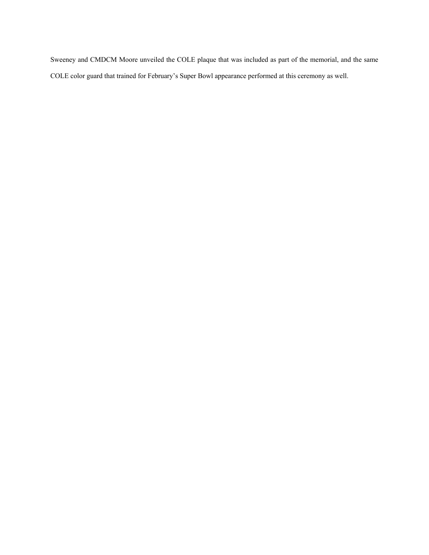Sweeney and CMDCM Moore unveiled the COLE plaque that was included as part of the memorial, and the same COLE color guard that trained for February's Super Bowl appearance performed at this ceremony as well.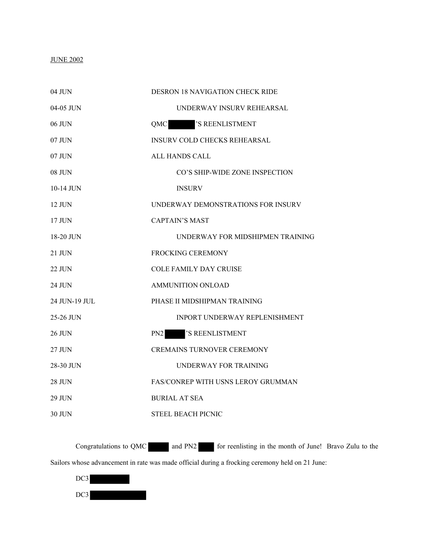## JUNE 2002

| 04 JUN        | DESRON 18 NAVIGATION CHECK RIDE     |
|---------------|-------------------------------------|
| 04-05 JUN     | UNDERWAY INSURV REHEARSAL           |
| 06 JUN        | 'S REENLISTMENT<br>QMC              |
| 07 JUN        | <b>INSURV COLD CHECKS REHEARSAL</b> |
| 07 JUN        | <b>ALL HANDS CALL</b>               |
| <b>08 JUN</b> | CO'S SHIP-WIDE ZONE INSPECTION      |
| 10-14 JUN     | <b>INSURV</b>                       |
| 12 JUN        | UNDERWAY DEMONSTRATIONS FOR INSURV  |
| $17$ JUN      | <b>CAPTAIN'S MAST</b>               |
| 18-20 JUN     | UNDERWAY FOR MIDSHIPMEN TRAINING    |
| $21$ JUN      | <b>FROCKING CEREMONY</b>            |
| <b>22 JUN</b> | <b>COLE FAMILY DAY CRUISE</b>       |
| 24 JUN        | <b>AMMUNITION ONLOAD</b>            |
| 24 JUN-19 JUL | PHASE II MIDSHIPMAN TRAINING        |
| 25-26 JUN     | INPORT UNDERWAY REPLENISHMENT       |
| <b>26 JUN</b> | PN <sub>2</sub><br>'S REENLISTMENT  |
| 27 JUN        | <b>CREMAINS TURNOVER CEREMONY</b>   |
| 28-30 JUN     | UNDERWAY FOR TRAINING               |
| <b>28 JUN</b> | FAS/CONREP WITH USNS LEROY GRUMMAN  |
| <b>29 JUN</b> | BURIAL AT SEA                       |
| 30 JUN        | <b>STEEL BEACH PICNIC</b>           |

Congratulations to QMC and PN2 for reenlisting in the month of June! Bravo Zulu to the Sailors whose advancement in rate was made official during a frocking ceremony held on 21 June:

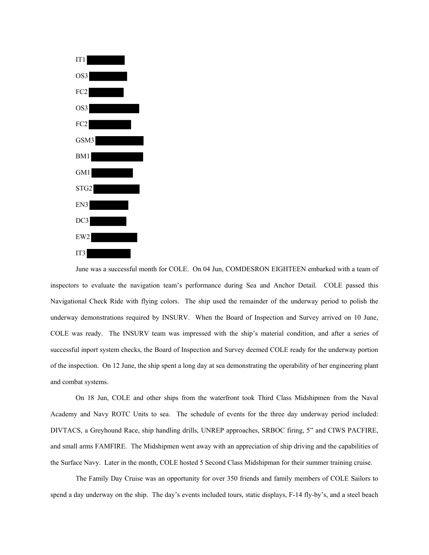

June was a successful month for COLE. On 04 Jun, COMDESRON EIGHTEEN embarked with a team of inspectors to evaluate the navigation team's performance during Sea and Anchor Detail. COLE passed this Navigational Check Ride with flying colors. The ship used the remainder of the underway period to polish the underway demonstrations required by INSURV. When the Board of Inspection and Survey arrived on 10 June, COLE was ready. The INSURV team was impressed with the ship's material condition, and after a series of successful inport system checks, the Board of Inspection and Survey deemed COLE ready for the underway portion of the inspection. On 12 June, the ship spent a long day at sea demonstrating the operability of her engineering plant and combat systems.

On 18 Jun, COLE and other ships from the waterfront took Third Class Midshipmen from the Naval Academy and Navy ROTC Units to sea. The schedule of events for the three day underway period included: DIVTACS, a Greyhound Race, ship handling drills, UNREP approaches, SRBOC firing, 5" and CIWS PACFIRE, and small arms FAMFIRE. The Midshipmen went away with an appreciation of ship driving and the capabilities of the Surface Navy. Later in the month, COLE hosted 5 Second Class Midshipman for their summer training cruise.

The Family Day Cruise was an opportunity for over 350 friends and family members of COLE Sailors to spend a day underway on the ship. The day's events included tours, static displays, F-14 fly-by's, and a steel beach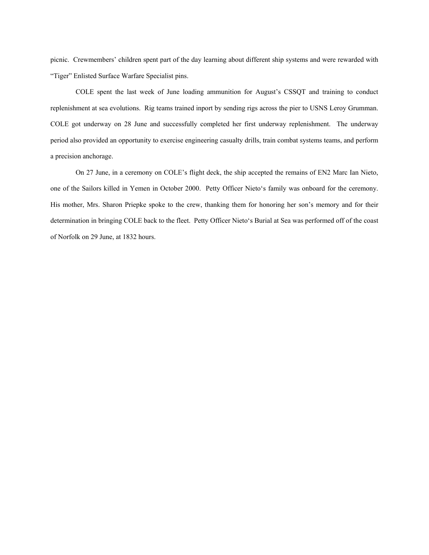picnic. Crewmembers' children spent part of the day learning about different ship systems and were rewarded with "Tiger" Enlisted Surface Warfare Specialist pins.

COLE spent the last week of June loading ammunition for August's CSSQT and training to conduct replenishment at sea evolutions. Rig teams trained inport by sending rigs across the pier to USNS Leroy Grumman. COLE got underway on 28 June and successfully completed her first underway replenishment. The underway period also provided an opportunity to exercise engineering casualty drills, train combat systems teams, and perform a precision anchorage.

On 27 June, in a ceremony on COLE's flight deck, the ship accepted the remains of EN2 Marc Ian Nieto, one of the Sailors killed in Yemen in October 2000. Petty Officer Nieto's family was onboard for the ceremony. His mother, Mrs. Sharon Priepke spoke to the crew, thanking them for honoring her son's memory and for their determination in bringing COLE back to the fleet. Petty Officer Nieto's Burial at Sea was performed off of the coast of Norfolk on 29 June, at 1832 hours.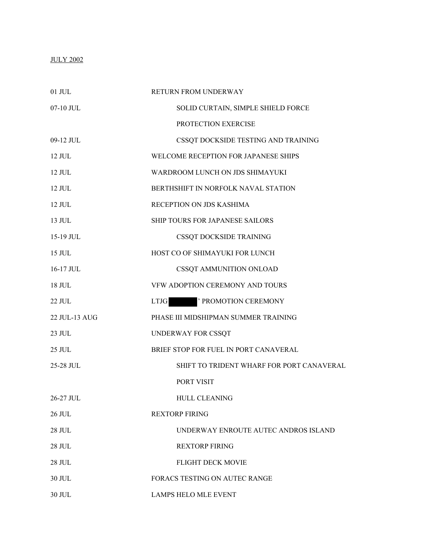# JULY 2002

| $01$ JUL      | RETURN FROM UNDERWAY                      |
|---------------|-------------------------------------------|
| 07-10 JUL     | SOLID CURTAIN, SIMPLE SHIELD FORCE        |
|               | PROTECTION EXERCISE                       |
| 09-12 JUL     | CSSQT DOCKSIDE TESTING AND TRAINING       |
| $12$ JUL      | WELCOME RECEPTION FOR JAPANESE SHIPS      |
| $12$ JUL      | WARDROOM LUNCH ON JDS SHIMAYUKI           |
| $12$ JUL.     | BERTHSHIFT IN NORFOLK NAVAL STATION       |
| $12$ JUL      | RECEPTION ON JDS KASHIMA                  |
| 13 JUL        | SHIP TOURS FOR JAPANESE SAILORS           |
| 15-19 JUL     | CSSQT DOCKSIDE TRAINING                   |
| $15$ JUL.     | HOST CO OF SHIMAYUKI FOR LUNCH            |
| 16-17 JUL     | CSSQT AMMUNITION ONLOAD                   |
| 18 JUL        | VFW ADOPTION CEREMONY AND TOURS           |
| 22 JUL        | ' PROMOTION CEREMONY<br><b>LTJG</b>       |
| 22 JUL-13 AUG | PHASE III MIDSHIPMAN SUMMER TRAINING      |
| 23 JUL        | UNDERWAY FOR CSSQT                        |
| 25 JUL        | BRIEF STOP FOR FUEL IN PORT CANAVERAL     |
| 25-28 JUL     | SHIFT TO TRIDENT WHARF FOR PORT CANAVERAL |
|               | PORT VISIT                                |
| 26-27 JUL     | <b>HULL CLEANING</b>                      |
| 26 JUL        | <b>REXTORP FIRING</b>                     |
| 28 JUL        | UNDERWAY ENROUTE AUTEC ANDROS ISLAND      |
| <b>28 JUL</b> | <b>REXTORP FIRING</b>                     |
| <b>28 JUL</b> | <b>FLIGHT DECK MOVIE</b>                  |
| 30 JUL        | FORACS TESTING ON AUTEC RANGE             |
| 30 JUL        | LAMPS HELO MLE EVENT                      |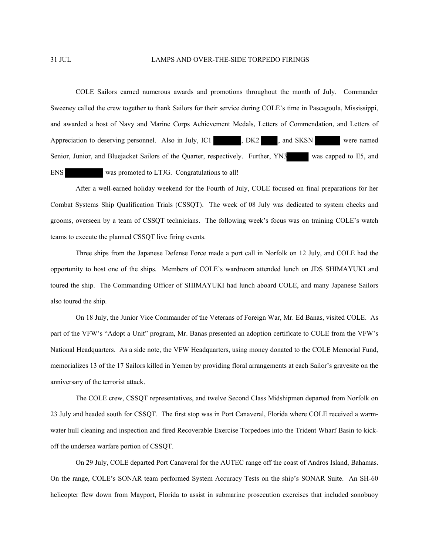### 31 JUL LAMPS AND OVER-THE-SIDE TORPEDO FIRINGS

COLE Sailors earned numerous awards and promotions throughout the month of July. Commander Sweeney called the crew together to thank Sailors for their service during COLE's time in Pascagoula, Mississippi, and awarded a host of Navy and Marine Corps Achievement Medals, Letters of Commendation, and Letters of Appreciation to deserving personnel. Also in July, IC1 , DK2 , and SKSN were named Senior, Junior, and Bluejacket Sailors of the Quarter, respectively. Further, YN3 was capped to E5, and ENS was promoted to LTJG. Congratulations to all!

After a well-earned holiday weekend for the Fourth of July, COLE focused on final preparations for her Combat Systems Ship Qualification Trials (CSSQT). The week of 08 July was dedicated to system checks and grooms, overseen by a team of CSSQT technicians. The following week's focus was on training COLE's watch teams to execute the planned CSSQT live firing events.

Three ships from the Japanese Defense Force made a port call in Norfolk on 12 July, and COLE had the opportunity to host one of the ships. Members of COLE's wardroom attended lunch on JDS SHIMAYUKI and toured the ship. The Commanding Officer of SHIMAYUKI had lunch aboard COLE, and many Japanese Sailors also toured the ship.

On 18 July, the Junior Vice Commander of the Veterans of Foreign War, Mr. Ed Banas, visited COLE. As part of the VFW's "Adopt a Unit" program, Mr. Banas presented an adoption certificate to COLE from the VFW's National Headquarters. As a side note, the VFW Headquarters, using money donated to the COLE Memorial Fund, memorializes 13 of the 17 Sailors killed in Yemen by providing floral arrangements at each Sailor's gravesite on the anniversary of the terrorist attack.

The COLE crew, CSSQT representatives, and twelve Second Class Midshipmen departed from Norfolk on 23 July and headed south for CSSQT. The first stop was in Port Canaveral, Florida where COLE received a warmwater hull cleaning and inspection and fired Recoverable Exercise Torpedoes into the Trident Wharf Basin to kickoff the undersea warfare portion of CSSQT.

On 29 July, COLE departed Port Canaveral for the AUTEC range off the coast of Andros Island, Bahamas. On the range, COLE's SONAR team performed System Accuracy Tests on the ship's SONAR Suite. An SH-60 helicopter flew down from Mayport, Florida to assist in submarine prosecution exercises that included sonobuoy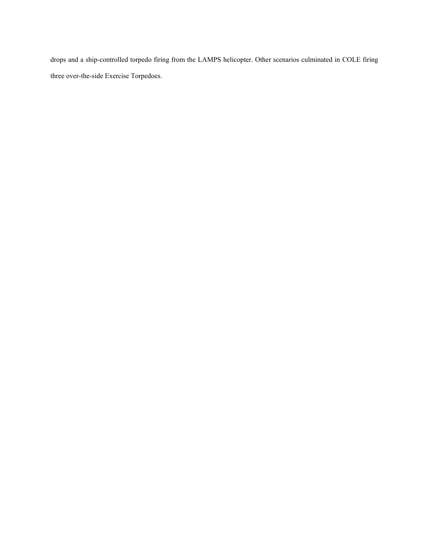drops and a ship-controlled torpedo firing from the LAMPS helicopter. Other scenarios culminated in COLE firing three over-the-side Exercise Torpedoes.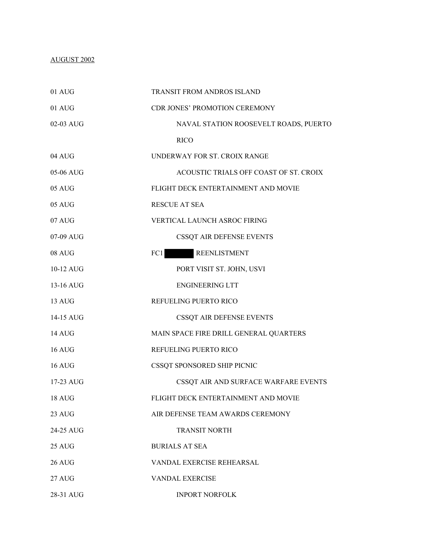## AUGUST 2002

| 01 AUG        | <b>TRANSIT FROM ANDROS ISLAND</b>      |
|---------------|----------------------------------------|
| 01 AUG        | CDR JONES' PROMOTION CEREMONY          |
| 02-03 AUG     | NAVAL STATION ROOSEVELT ROADS, PUERTO  |
|               | <b>RICO</b>                            |
| 04 AUG        | UNDERWAY FOR ST. CROIX RANGE           |
| 05-06 AUG     | ACOUSTIC TRIALS OFF COAST OF ST. CROIX |
| 05 AUG        | FLIGHT DECK ENTERTAINMENT AND MOVIE    |
| 05 AUG        | <b>RESCUE AT SEA</b>                   |
| 07 AUG        | VERTICAL LAUNCH ASROC FIRING           |
| 07-09 AUG     | CSSQT AIR DEFENSE EVENTS               |
| 08 AUG        | <b>REENLISTMENT</b><br>FC1             |
| 10-12 AUG     | PORT VISIT ST. JOHN, USVI              |
| 13-16 AUG     | <b>ENGINEERING LTT</b>                 |
| 13 AUG        | REFUELING PUERTO RICO                  |
| 14-15 AUG     | CSSQT AIR DEFENSE EVENTS               |
| 14 AUG        | MAIN SPACE FIRE DRILL GENERAL QUARTERS |
| <b>16 AUG</b> | REFUELING PUERTO RICO                  |
| $16$ AUG      | CSSQT SPONSORED SHIP PICNIC            |
| 17-23 AUG     | CSSQT AIR AND SURFACE WARFARE EVENTS   |
| 18 AUG        | FLIGHT DECK ENTERTAINMENT AND MOVIE    |
| 23 AUG        | AIR DEFENSE TEAM AWARDS CEREMONY       |
| 24-25 AUG     | <b>TRANSIT NORTH</b>                   |
| 25 AUG        | <b>BURIALS AT SEA</b>                  |
| <b>26 AUG</b> | VANDAL EXERCISE REHEARSAL              |
| 27 AUG        | <b>VANDAL EXERCISE</b>                 |
| 28-31 AUG     | <b>INPORT NORFOLK</b>                  |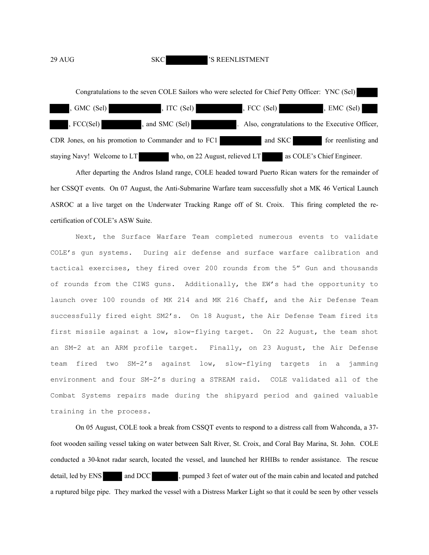### 29 AUG SKC 'S REENLISTMENT



After departing the Andros Island range, COLE headed toward Puerto Rican waters for the remainder of her CSSQT events. On 07 August, the Anti-Submarine Warfare team successfully shot a MK 46 Vertical Launch ASROC at a live target on the Underwater Tracking Range off of St. Croix. This firing completed the recertification of COLE's ASW Suite.

Next, the Surface Warfare Team completed numerous events to validate COLE's gun systems. During air defense and surface warfare calibration and tactical exercises, they fired over 200 rounds from the 5" Gun and thousands of rounds from the CIWS guns. Additionally, the EW's had the opportunity to launch over 100 rounds of MK 214 and MK 216 Chaff, and the Air Defense Team successfully fired eight SM2's. On 18 August, the Air Defense Team fired its first missile against a low, slow-flying target. On 22 August, the team shot an SM-2 at an ARM profile target. Finally, on 23 August, the Air Defense team fired two SM-2's against low, slow-flying targets in a jamming environment and four SM-2's during a STREAM raid. COLE validated all of the Combat Systems repairs made during the shipyard period and gained valuable training in the process.

On 05 August, COLE took a break from CSSQT events to respond to a distress call from Wahconda, a 37 foot wooden sailing vessel taking on water between Salt River, St. Croix, and Coral Bay Marina, St. John. COLE conducted a 30-knot radar search, located the vessel, and launched her RHIBs to render assistance. The rescue detail, led by ENS and DCC , pumped 3 feet of water out of the main cabin and located and patched a ruptured bilge pipe. They marked the vessel with a Distress Marker Light so that it could be seen by other vessels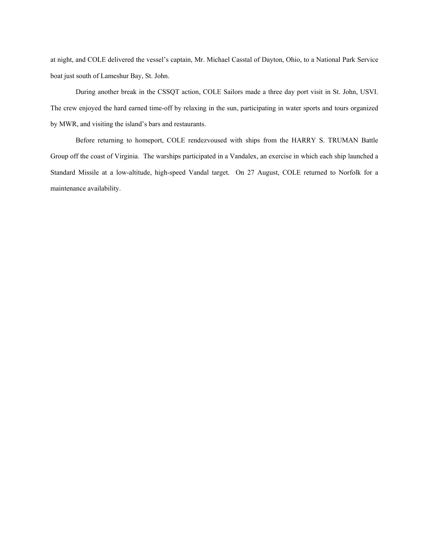at night, and COLE delivered the vessel's captain, Mr. Michael Casstal of Dayton, Ohio, to a National Park Service boat just south of Lameshur Bay, St. John.

During another break in the CSSQT action, COLE Sailors made a three day port visit in St. John, USVI. The crew enjoyed the hard earned time-off by relaxing in the sun, participating in water sports and tours organized by MWR, and visiting the island's bars and restaurants.

Before returning to homeport, COLE rendezvoused with ships from the HARRY S. TRUMAN Battle Group off the coast of Virginia. The warships participated in a Vandalex, an exercise in which each ship launched a Standard Missile at a low-altitude, high-speed Vandal target. On 27 August, COLE returned to Norfolk for a maintenance availability.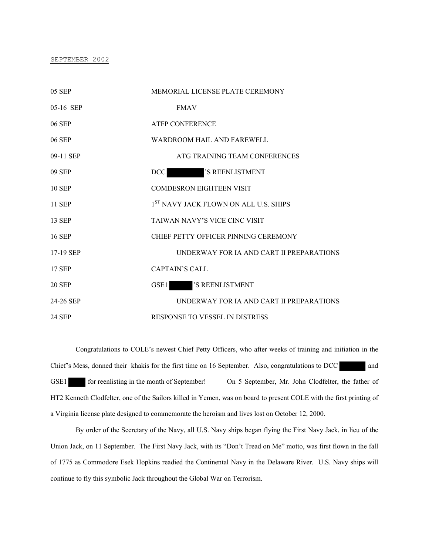#### SEPTEMBER 2002

| 05 SEP        | MEMORIAL LICENSE PLATE CEREMONY                   |
|---------------|---------------------------------------------------|
| 05-16 SEP     | <b>FMAV</b>                                       |
| 06 SEP        | <b>ATFP CONFERENCE</b>                            |
| 06 SEP        | WARDROOM HAIL AND FAREWELL                        |
| 09-11 SEP     | ATG TRAINING TEAM CONFERENCES                     |
| 09 SEP        | DCC DCC<br>'S REENLISTMENT                        |
| <b>10 SEP</b> | <b>COMDESRON EIGHTEEN VISIT</b>                   |
| 11 SEP        | 1 <sup>ST</sup> NAVY JACK FLOWN ON ALL U.S. SHIPS |
| 13 SEP        | TAIWAN NAVY'S VICE CINC VISIT                     |
| 16 SEP        | CHIEF PETTY OFFICER PINNING CEREMONY              |
| 17-19 SEP     | UNDERWAY FOR IA AND CART II PREPARATIONS          |
| 17 SEP        | <b>CAPTAIN'S CALL</b>                             |
| <b>20 SEP</b> | 'S REENLISTMENT<br>GSE1                           |
| 24-26 SEP     | UNDERWAY FOR IA AND CART II PREPARATIONS          |
| 24 SEP        | RESPONSE TO VESSEL IN DISTRESS                    |

Congratulations to COLE's newest Chief Petty Officers, who after weeks of training and initiation in the Chief's Mess, donned their khakis for the first time on 16 September. Also, congratulations to DCC and GSE1 for reenlisting in the month of September! On 5 September, Mr. John Clodfelter, the father of HT2 Kenneth Clodfelter, one of the Sailors killed in Yemen, was on board to present COLE with the first printing of a Virginia license plate designed to commemorate the heroism and lives lost on October 12, 2000.

By order of the Secretary of the Navy, all U.S. Navy ships began flying the First Navy Jack, in lieu of the Union Jack, on 11 September. The First Navy Jack, with its "Don't Tread on Me" motto, was first flown in the fall of 1775 as Commodore Esek Hopkins readied the Continental Navy in the Delaware River. U.S. Navy ships will continue to fly this symbolic Jack throughout the Global War on Terrorism.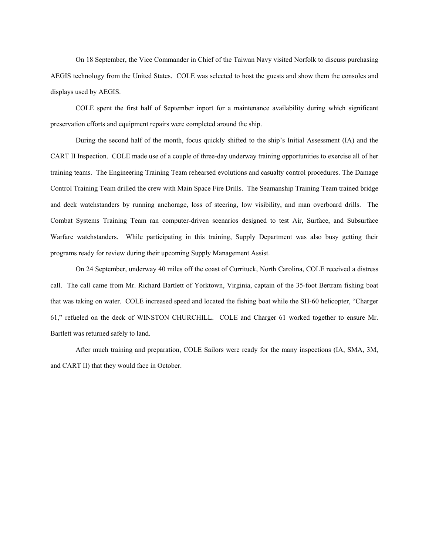On 18 September, the Vice Commander in Chief of the Taiwan Navy visited Norfolk to discuss purchasing AEGIS technology from the United States. COLE was selected to host the guests and show them the consoles and displays used by AEGIS.

COLE spent the first half of September inport for a maintenance availability during which significant preservation efforts and equipment repairs were completed around the ship.

During the second half of the month, focus quickly shifted to the ship's Initial Assessment (IA) and the CART II Inspection. COLE made use of a couple of three-day underway training opportunities to exercise all of her training teams. The Engineering Training Team rehearsed evolutions and casualty control procedures. The Damage Control Training Team drilled the crew with Main Space Fire Drills. The Seamanship Training Team trained bridge and deck watchstanders by running anchorage, loss of steering, low visibility, and man overboard drills. The Combat Systems Training Team ran computer-driven scenarios designed to test Air, Surface, and Subsurface Warfare watchstanders. While participating in this training, Supply Department was also busy getting their programs ready for review during their upcoming Supply Management Assist.

On 24 September, underway 40 miles off the coast of Currituck, North Carolina, COLE received a distress call. The call came from Mr. Richard Bartlett of Yorktown, Virginia, captain of the 35-foot Bertram fishing boat that was taking on water. COLE increased speed and located the fishing boat while the SH-60 helicopter, "Charger 61," refueled on the deck of WINSTON CHURCHILL. COLE and Charger 61 worked together to ensure Mr. Bartlett was returned safely to land.

After much training and preparation, COLE Sailors were ready for the many inspections (IA, SMA, 3M, and CART II) that they would face in October.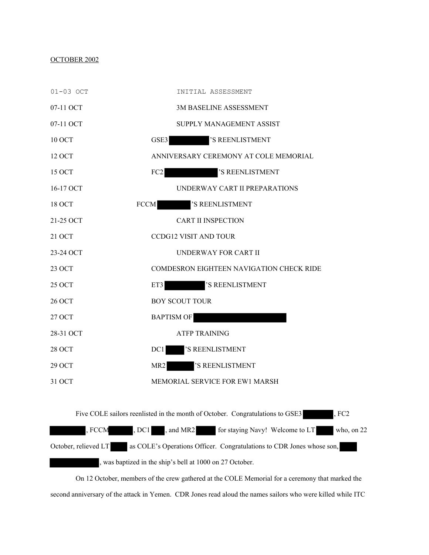## OCTOBER 2002



On 12 October, members of the crew gathered at the COLE Memorial for a ceremony that marked the second anniversary of the attack in Yemen. CDR Jones read aloud the names sailors who were killed while ITC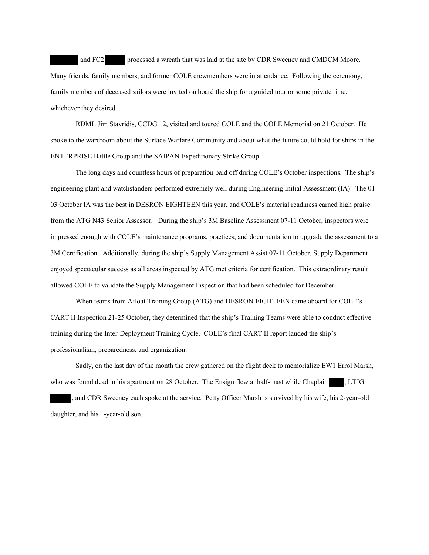and FC2 processed a wreath that was laid at the site by CDR Sweeney and CMDCM Moore. Many friends, family members, and former COLE crewmembers were in attendance. Following the ceremony, family members of deceased sailors were invited on board the ship for a guided tour or some private time, whichever they desired.

RDML Jim Stavridis, CCDG 12, visited and toured COLE and the COLE Memorial on 21 October. He spoke to the wardroom about the Surface Warfare Community and about what the future could hold for ships in the ENTERPRISE Battle Group and the SAIPAN Expeditionary Strike Group.

The long days and countless hours of preparation paid off during COLE's October inspections. The ship's engineering plant and watchstanders performed extremely well during Engineering Initial Assessment (IA). The 01- 03 October IA was the best in DESRON EIGHTEEN this year, and COLE's material readiness earned high praise from the ATG N43 Senior Assessor. During the ship's 3M Baseline Assessment 07-11 October, inspectors were impressed enough with COLE's maintenance programs, practices, and documentation to upgrade the assessment to a 3M Certification. Additionally, during the ship's Supply Management Assist 07-11 October, Supply Department enjoyed spectacular success as all areas inspected by ATG met criteria for certification. This extraordinary result allowed COLE to validate the Supply Management Inspection that had been scheduled for December.

When teams from Afloat Training Group (ATG) and DESRON EIGHTEEN came aboard for COLE's CART II Inspection 21-25 October, they determined that the ship's Training Teams were able to conduct effective training during the Inter-Deployment Training Cycle. COLE's final CART II report lauded the ship's professionalism, preparedness, and organization.

Sadly, on the last day of the month the crew gathered on the flight deck to memorialize EW1 Errol Marsh, who was found dead in his apartment on 28 October. The Ensign flew at half-mast while Chaplain , LTJG

, and CDR Sweeney each spoke at the service. Petty Officer Marsh is survived by his wife, his 2-year-old daughter, and his 1-year-old son.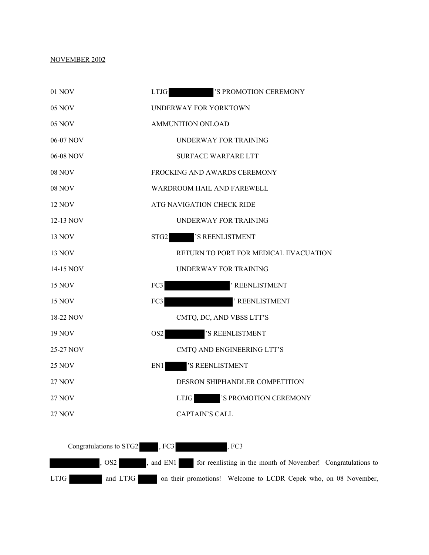## NOVEMBER 2002



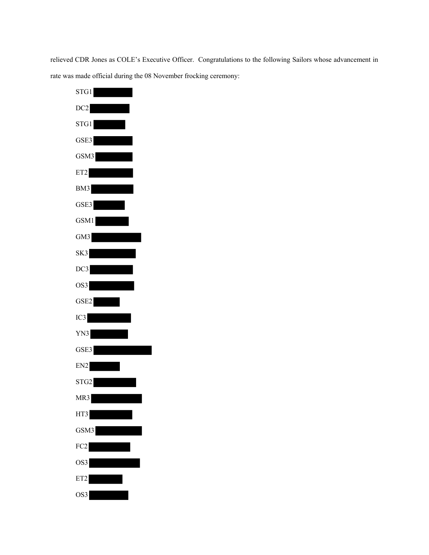relieved CDR Jones as COLE's Executive Officer. Congratulations to the following Sailors whose advancement in rate was made official during the 08 November frocking ceremony:

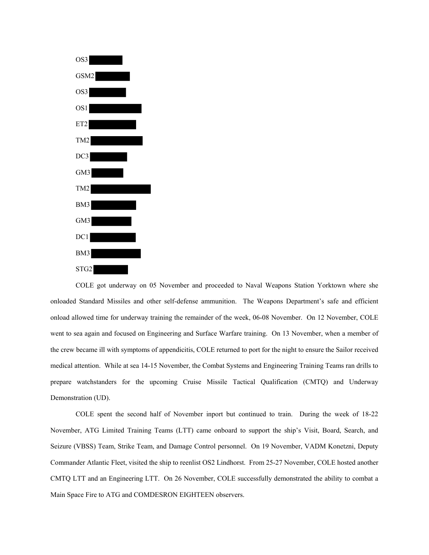

COLE got underway on 05 November and proceeded to Naval Weapons Station Yorktown where she onloaded Standard Missiles and other self-defense ammunition. The Weapons Department's safe and efficient onload allowed time for underway training the remainder of the week, 06-08 November. On 12 November, COLE went to sea again and focused on Engineering and Surface Warfare training. On 13 November, when a member of the crew became ill with symptoms of appendicitis, COLE returned to port for the night to ensure the Sailor received medical attention. While at sea 14-15 November, the Combat Systems and Engineering Training Teams ran drills to prepare watchstanders for the upcoming Cruise Missile Tactical Qualification (CMTQ) and Underway Demonstration (UD).

COLE spent the second half of November inport but continued to train. During the week of 18-22 November, ATG Limited Training Teams (LTT) came onboard to support the ship's Visit, Board, Search, and Seizure (VBSS) Team, Strike Team, and Damage Control personnel. On 19 November, VADM Konetzni, Deputy Commander Atlantic Fleet, visited the ship to reenlist OS2 Lindhorst. From 25-27 November, COLE hosted another CMTQ LTT and an Engineering LTT. On 26 November, COLE successfully demonstrated the ability to combat a Main Space Fire to ATG and COMDESRON EIGHTEEN observers.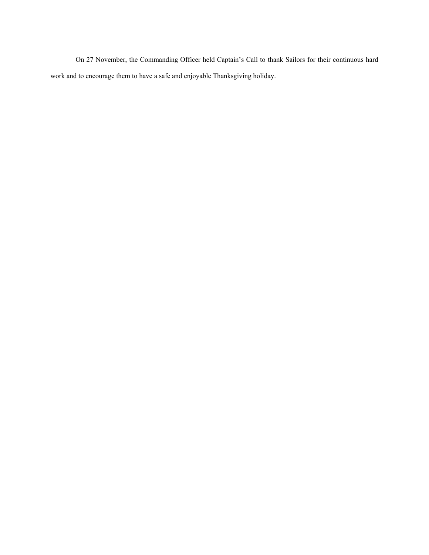On 27 November, the Commanding Officer held Captain's Call to thank Sailors for their continuous hard work and to encourage them to have a safe and enjoyable Thanksgiving holiday.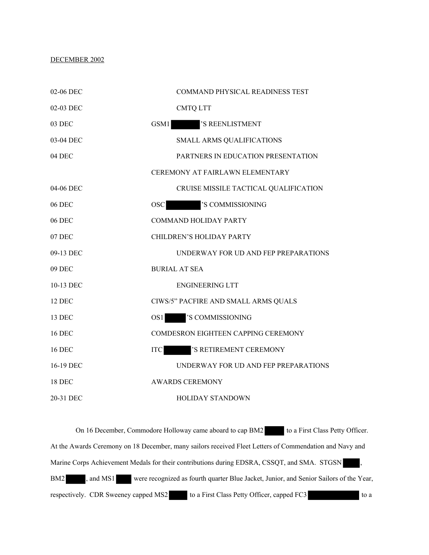## DECEMBER 2002

| 02-06 DEC     | COMMAND PHYSICAL READINESS TEST       |
|---------------|---------------------------------------|
| 02-03 DEC     | <b>CMTQ LTT</b>                       |
| 03 DEC        | 'S REENLISTMENT<br>GSM1               |
| 03-04 DEC     | <b>SMALL ARMS QUALIFICATIONS</b>      |
| 04 DEC        | PARTNERS IN EDUCATION PRESENTATION    |
|               | CEREMONY AT FAIRLAWN ELEMENTARY       |
| 04-06 DEC     | CRUISE MISSILE TACTICAL QUALIFICATION |
| <b>06 DEC</b> | 'S COMMISSIONING<br><b>OSC</b>        |
| 06 DEC        | <b>COMMAND HOLIDAY PARTY</b>          |
| 07 DEC        | CHILDREN'S HOLIDAY PARTY              |
| 09-13 DEC     | UNDERWAY FOR UD AND FEP PREPARATIONS  |
| 09 DEC        | <b>BURIAL AT SEA</b>                  |
| 10-13 DEC     | <b>ENGINEERING LTT</b>                |
| <b>12 DEC</b> | CIWS/5" PACFIRE AND SMALL ARMS QUALS  |
| 13 DEC        | 'S COMMISSIONING<br>OS1               |
| <b>16 DEC</b> | COMDESRON EIGHTEEN CAPPING CEREMONY   |
| <b>16 DEC</b> | 'S RETIREMENT CEREMONY<br><b>ITC</b>  |
| 16-19 DEC     | UNDERWAY FOR UD AND FEP PREPARATIONS  |
| <b>18 DEC</b> | <b>AWARDS CEREMONY</b>                |
| 20-31 DEC     | <b>HOLIDAY STANDOWN</b>               |

On 16 December, Commodore Holloway came aboard to cap BM2 to a First Class Petty Officer. At the Awards Ceremony on 18 December, many sailors received Fleet Letters of Commendation and Navy and Marine Corps Achievement Medals for their contributions during EDSRA, CSSQT, and SMA. STGSN, BM2 , and MS1 were recognized as fourth quarter Blue Jacket, Junior, and Senior Sailors of the Year, respectively. CDR Sweeney capped MS2 to a First Class Petty Officer, capped FC3 to a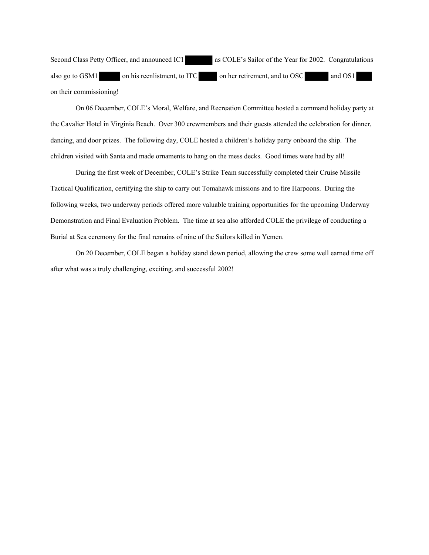Second Class Petty Officer, and announced IC1 as COLE's Sailor of the Year for 2002. Congratulations also go to GSM1 on his reenlistment, to ITC on her retirement, and to OSC and OS1 on their commissioning!

On 06 December, COLE's Moral, Welfare, and Recreation Committee hosted a command holiday party at the Cavalier Hotel in Virginia Beach. Over 300 crewmembers and their guests attended the celebration for dinner, dancing, and door prizes. The following day, COLE hosted a children's holiday party onboard the ship. The children visited with Santa and made ornaments to hang on the mess decks. Good times were had by all!

During the first week of December, COLE's Strike Team successfully completed their Cruise Missile Tactical Qualification, certifying the ship to carry out Tomahawk missions and to fire Harpoons. During the following weeks, two underway periods offered more valuable training opportunities for the upcoming Underway Demonstration and Final Evaluation Problem. The time at sea also afforded COLE the privilege of conducting a Burial at Sea ceremony for the final remains of nine of the Sailors killed in Yemen.

On 20 December, COLE began a holiday stand down period, allowing the crew some well earned time off after what was a truly challenging, exciting, and successful 2002!